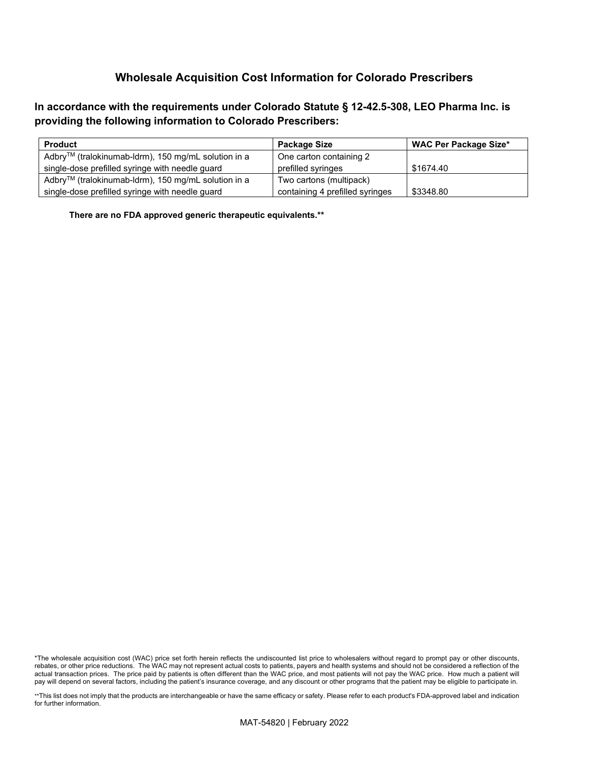**In accordance with the requirements under Colorado Statute § 12-42.5-308, LEO Pharma Inc. is providing the following information to Colorado Prescribers:**

| <b>Product</b>                                                  | Package Size                    | <b>WAC Per Package Size*</b> |
|-----------------------------------------------------------------|---------------------------------|------------------------------|
| Adbry <sup>™</sup> (tralokinumab-ldrm), 150 mg/mL solution in a | One carton containing 2         |                              |
| single-dose prefilled syringe with needle guard                 | prefilled syringes              | \$1674.40                    |
| Adbry <sup>™</sup> (tralokinumab-ldrm), 150 mg/mL solution in a | Two cartons (multipack)         |                              |
| single-dose prefilled syringe with needle guard                 | containing 4 prefilled syringes | \$3348.80                    |

**There are no FDA approved generic therapeutic equivalents.\*\***

<sup>\*</sup>The wholesale acquisition cost (WAC) price set forth herein reflects the undiscounted list price to wholesalers without regard to prompt pay or other discounts, rebates, or other price reductions. The WAC may not represent actual costs to patients, payers and health systems and should not be considered a reflection of the actual transaction prices. The price paid by patients is often different than the WAC price, and most patients will not pay the WAC price. How much a patient will pay will depend on several factors, including the patient's insurance coverage, and any discount or other programs that the patient may be eligible to participate in.

<sup>\*\*</sup>This list does not imply that the products are interchangeable or have the same efficacy or safety. Please refer to each product's FDA-approved label and indication for further information.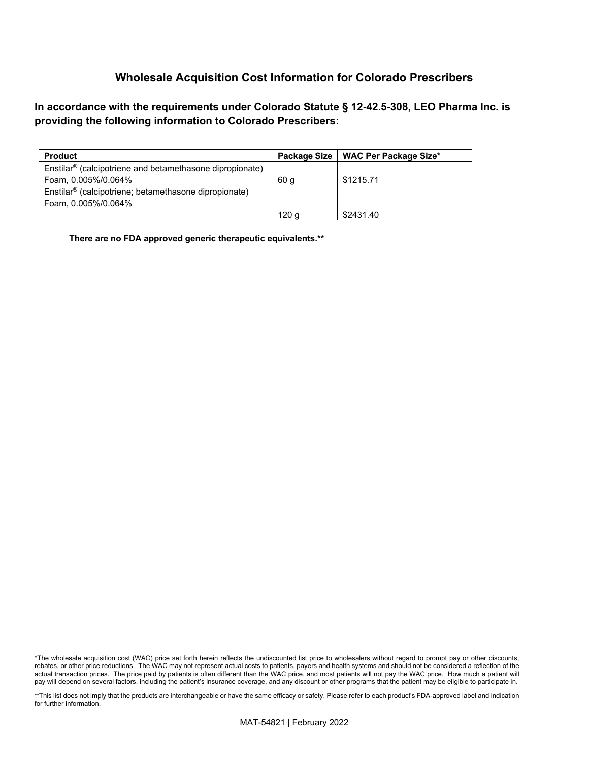**In accordance with the requirements under Colorado Statute § 12-42.5-308, LEO Pharma Inc. is providing the following information to Colorado Prescribers:**

| <b>Product</b>                                                       | <b>Package Size</b> | <b>WAC Per Package Size*</b> |
|----------------------------------------------------------------------|---------------------|------------------------------|
| Enstilar <sup>®</sup> (calcipotriene and betamethasone dipropionate) |                     |                              |
| Foam, 0.005%/0.064%                                                  | 60 a                | \$1215.71                    |
| Enstilar <sup>®</sup> (calcipotriene; betamethasone dipropionate)    |                     |                              |
| Foam, 0.005%/0.064%                                                  |                     |                              |
|                                                                      | 120 g               | \$2431.40                    |

**There are no FDA approved generic therapeutic equivalents.\*\***

\*\*This list does not imply that the products are interchangeable or have the same efficacy or safety. Please refer to each product's FDA-approved label and indication for further information.

<sup>\*</sup>The wholesale acquisition cost (WAC) price set forth herein reflects the undiscounted list price to wholesalers without regard to prompt pay or other discounts, rebates, or other price reductions. The WAC may not represent actual costs to patients, payers and health systems and should not be considered a reflection of the actual transaction prices. The price paid by patients is often different than the WAC price, and most patients will not pay the WAC price. How much a patient will pay will depend on several factors, including the patient's insurance coverage, and any discount or other programs that the patient may be eligible to participate in.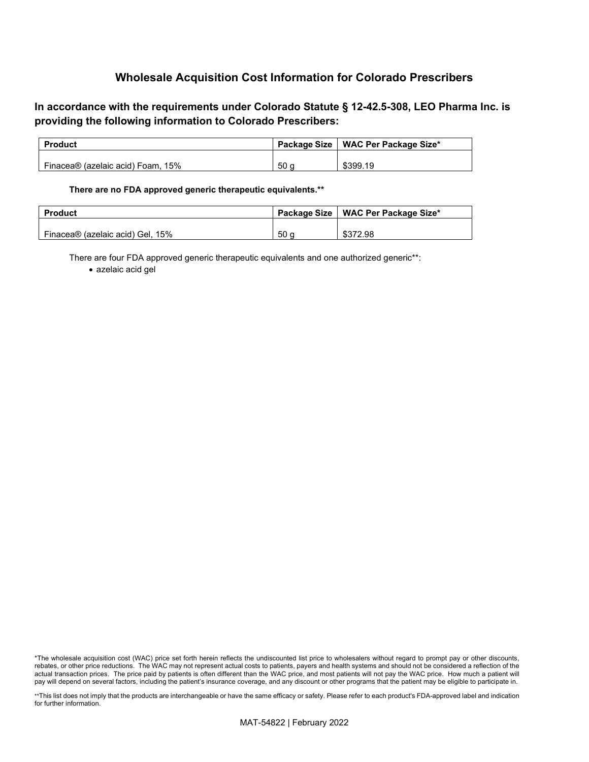### **In accordance with the requirements under Colorado Statute § 12-42.5-308, LEO Pharma Inc. is providing the following information to Colorado Prescribers:**

| <b>Product</b>                    |                 | Package Size   WAC Per Package Size* |
|-----------------------------------|-----------------|--------------------------------------|
|                                   |                 |                                      |
| Finacea® (azelaic acid) Foam, 15% | 50 <sub>c</sub> | \$399.19                             |

#### **There are no FDA approved generic therapeutic equivalents.\*\***

| <b>Product</b>                   |                 | Package Size   WAC Per Package Size* |
|----------------------------------|-----------------|--------------------------------------|
| Finacea® (azelaic acid) Gel. 15% | 50 <sub>a</sub> | \$372.98                             |

There are four FDA approved generic therapeutic equivalents and one authorized generic\*\*:

• azelaic acid gel

<sup>\*</sup>The wholesale acquisition cost (WAC) price set forth herein reflects the undiscounted list price to wholesalers without regard to prompt pay or other discounts, rebates, or other price reductions. The WAC may not represent actual costs to patients, payers and health systems and should not be considered a reflection of the actual transaction prices. The price paid by patients is often different than the WAC price, and most patients will not pay the WAC price. How much a patient will pay will depend on several factors, including the patient's insurance coverage, and any discount or other programs that the patient may be eligible to participate in.

<sup>\*\*</sup>This list does not imply that the products are interchangeable or have the same efficacy or safety. Please refer to each product's FDA-approved label and indication for further information.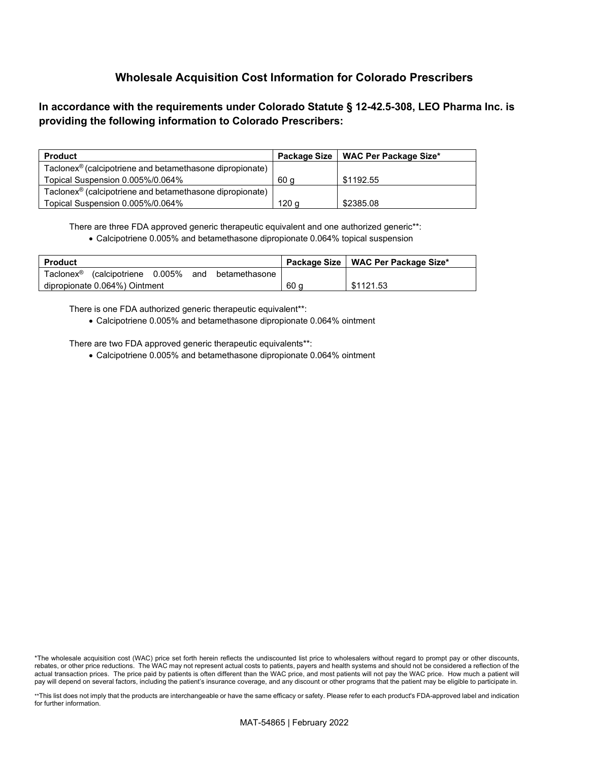## **In accordance with the requirements under Colorado Statute § 12-42.5-308, LEO Pharma Inc. is providing the following information to Colorado Prescribers:**

| <b>Product</b>                                                       | <b>Package Size</b> | <b>WAC Per Package Size*</b> |
|----------------------------------------------------------------------|---------------------|------------------------------|
| Taclonex <sup>®</sup> (calcipotriene and betamethasone dipropionate) |                     |                              |
| Topical Suspension 0.005%/0.064%                                     | 60 a                | \$1192.55                    |
| Taclonex <sup>®</sup> (calcipotriene and betamethasone dipropionate) |                     |                              |
| Topical Suspension 0.005%/0.064%                                     | 120 a               | \$2385.08                    |

There are three FDA approved generic therapeutic equivalent and one authorized generic\*\*:

• Calcipotriene 0.005% and betamethasone dipropionate 0.064% topical suspension

| <b>Product</b>        |                               |     |               |      | Package Size   WAC Per Package Size* |
|-----------------------|-------------------------------|-----|---------------|------|--------------------------------------|
| Taclonex <sup>®</sup> | calcipotriene 0.005%          | and | betamethasone |      |                                      |
|                       | dipropionate 0.064%) Ointment |     |               | 60 a | \$1121.53                            |

There is one FDA authorized generic therapeutic equivalent\*\*:

• Calcipotriene 0.005% and betamethasone dipropionate 0.064% ointment

There are two FDA approved generic therapeutic equivalents\*\*:

• Calcipotriene 0.005% and betamethasone dipropionate 0.064% ointment

<sup>\*</sup>The wholesale acquisition cost (WAC) price set forth herein reflects the undiscounted list price to wholesalers without regard to prompt pay or other discounts, rebates, or other price reductions. The WAC may not represent actual costs to patients, payers and health systems and should not be considered a reflection of the actual transaction prices. The price paid by patients is often different than the WAC price, and most patients will not pay the WAC price. How much a patient will pay will depend on several factors, including the patient's insurance coverage, and any discount or other programs that the patient may be eligible to participate in.

<sup>\*\*</sup>This list does not imply that the products are interchangeable or have the same efficacy or safety. Please refer to each product's FDA-approved label and indication for further information.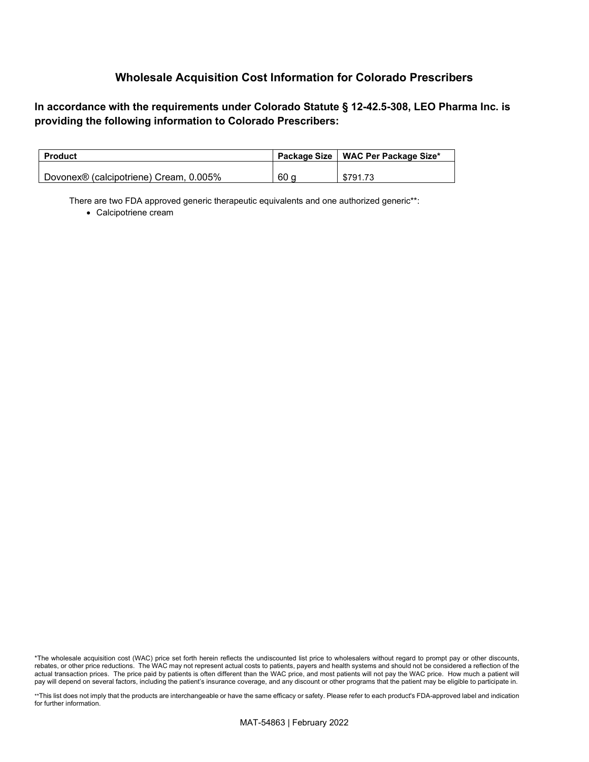**In accordance with the requirements under Colorado Statute § 12-42.5-308, LEO Pharma Inc. is providing the following information to Colorado Prescribers:**

| <b>Product</b>                         |      | Package Size   WAC Per Package Size* |
|----------------------------------------|------|--------------------------------------|
| Dovonex® (calcipotriene) Cream, 0.005% | 60 a | \$791.73                             |

There are two FDA approved generic therapeutic equivalents and one authorized generic\*\*:

• Calcipotriene cream

<sup>\*</sup>The wholesale acquisition cost (WAC) price set forth herein reflects the undiscounted list price to wholesalers without regard to prompt pay or other discounts, rebates, or other price reductions. The WAC may not represent actual costs to patients, payers and health systems and should not be considered a reflection of the actual transaction prices. The price paid by patients is often different than the WAC price, and most patients will not pay the WAC price. How much a patient will pay will depend on several factors, including the patient's insurance coverage, and any discount or other programs that the patient may be eligible to participate in.

<sup>\*\*</sup>This list does not imply that the products are interchangeable or have the same efficacy or safety. Please refer to each product's FDA-approved label and indication for further information.